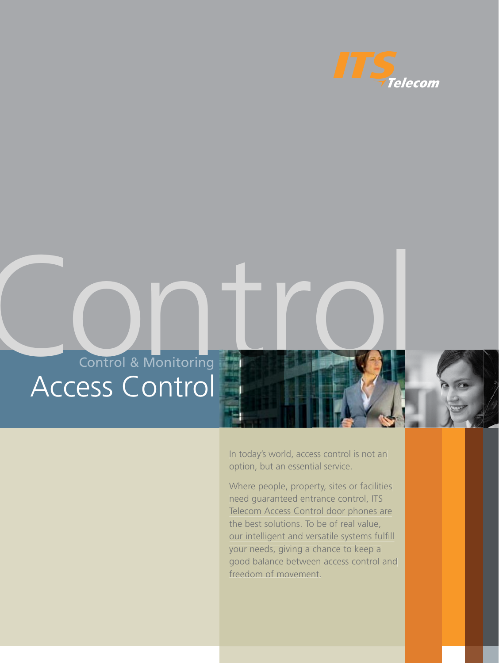

# Access Control Control & Monitoring Control & Monitoring

In today's world, access control is not an option, but an essential service.

Where people, property, sites or facilities need guaranteed entrance control, ITS Telecom Access Control door phones are the best solutions. To be of real value, our intelligent and versatile systems fulfill your needs, giving a chance to keep a good balance between access control and freedom of movement.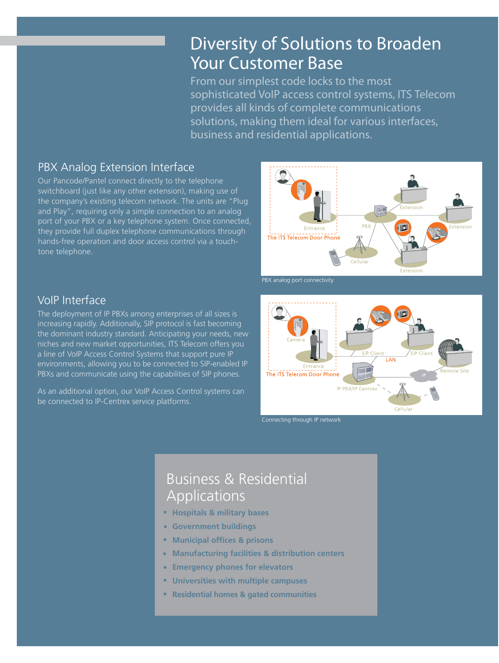## Diversity of Solutions to Broaden Your Customer Base

From our simplest code locks to the most sophisticated VoIP access control systems, ITS Telecom provides all kinds of complete communications solutions, making them ideal for various interfaces, business and residential applications.

#### PBX Analog Extension Interface

Our Pancode/Pantel connect directly to the telephone switchboard (just like any other extension), making use of the company's existing telecom network. The units are "Plug and Play", requiring only a simple connection to an analog port of your PBX or a key telephone system. Once connected, they provide full duplex telephone communications through hands-free operation and door access control via a touchtone telephone.



#### VoIP Interface

The deployment of IP PBXs among enterprises of all sizes is increasing rapidly. Additionally, SIP protocol is fast becoming the dominant industry standard. Anticipating your needs, new niches and new market opportunities, ITS Telecom offers you a line of VoIP Access Control Systems that support pure IP environments, allowing you to be connected to SIP-enabled IP PBXs and communicate using the capabilities of SIP phones.

As an additional option, our VoIP Access Control systems can be connected to IP-Centrex service platforms.



Connecting through IP network

### Business & Residential Applications

- **Hospitals & military bases •**
- **Government buildings •**
- **Municipal offices & prisons •**
- **Manufacturing facilities & distribution centers •**
- **Emergency phones for elevators •**
- **Universities with multiple campuses •**
- **Residential homes & gated communities •**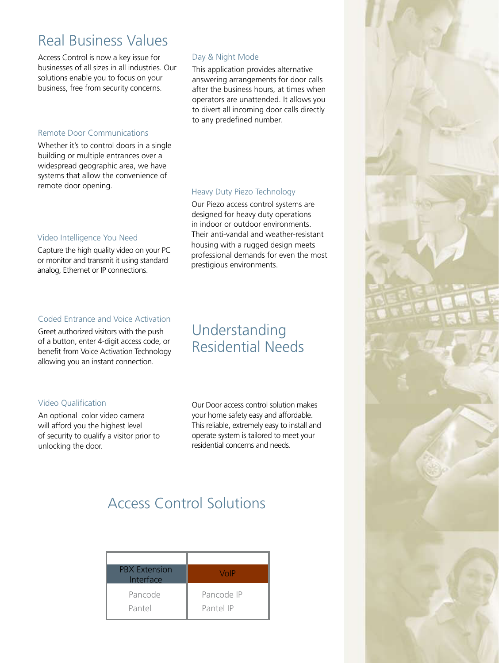## Real Business Values

Access Control is now a key issue for businesses of all sizes in all industries. Our solutions enable you to focus on your business, free from security concerns.

#### Remote Door Communications

Whether it's to control doors in a single building or multiple entrances over a widespread geographic area, we have systems that allow the convenience of remote door opening.

#### Day & Night Mode

This application provides alternative answering arrangements for door calls after the business hours, at times when operators are unattended. It allows you to divert all incoming door calls directly to any predefined number.

#### Heavy Duty Piezo Technology

Our Piezo access control systems are designed for heavy duty operations in indoor or outdoor environments. Their anti-vandal and weather-resistant housing with a rugged design meets professional demands for even the most prestigious environments.

#### Video Intelligence You Need

Capture the high quality video on your PC or monitor and transmit it using standard analog, Ethernet or IP connections.

#### Coded Entrance and Voice Activation

Greet authorized visitors with the push of a button, enter 4-digit access code, or benefit from Voice Activation Technology allowing you an instant connection.

### Understanding Residential Needs

#### Video Qualification

An optional color video camera will afford you the highest level of security to qualify a visitor prior to unlocking the door.

Our Door access control solution makes your home safety easy and affordable. This reliable, extremely easy to install and operate system is tailored to meet your residential concerns and needs.

## Access Control Solutions

| <b>PBX Extension</b><br>Interface | VoIP       |
|-----------------------------------|------------|
| Pancode                           | Pancode IP |
| Pantel                            | Pantel IP  |

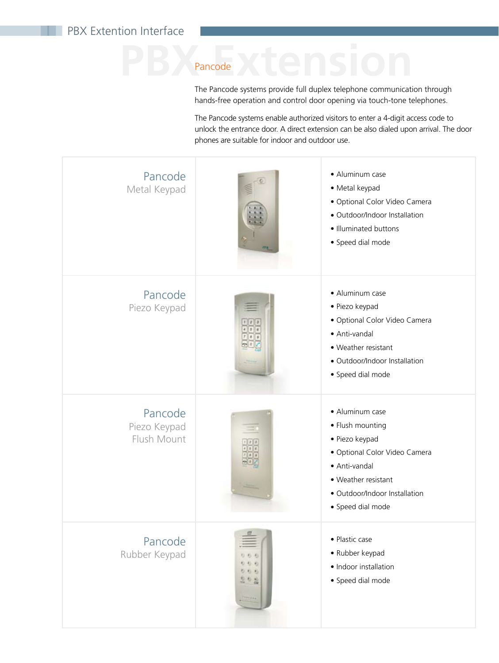#### **PBX Extention Interface**

## Pancode X E C I S I

The Pancode systems provide full duplex telephone communication through hands-free operation and control door opening via touch-tone telephones.

The Pancode systems enable authorized visitors to enter a 4-digit access code to unlock the entrance door. A direct extension can be also dialed upon arrival. The door phones are suitable for indoor and outdoor use.

| Pancode<br>Metal Keypad                |                    | · Aluminum case<br>· Metal keypad<br>· Optional Color Video Camera<br>· Outdoor/Indoor Installation<br>· Illuminated buttons<br>· Speed dial mode                                    |  |
|----------------------------------------|--------------------|--------------------------------------------------------------------------------------------------------------------------------------------------------------------------------------|--|
| Pancode<br>Piezo Keypad                |                    | • Aluminum case<br>· Piezo keypad<br>· Optional Color Video Camera<br>• Anti-vandal<br>• Weather resistant<br>· Outdoor/Indoor Installation<br>· Speed dial mode                     |  |
| Pancode<br>Piezo Keypad<br>Flush Mount |                    | • Aluminum case<br>• Flush mounting<br>· Piezo keypad<br>· Optional Color Video Camera<br>• Anti-vandal<br>• Weather resistant<br>· Outdoor/Indoor Installation<br>· Speed dial mode |  |
| Pancode<br>Rubber Keypad               | 右右<br>も思<br>121944 | · Plastic case<br>• Rubber keypad<br>· Indoor installation<br>· Speed dial mode                                                                                                      |  |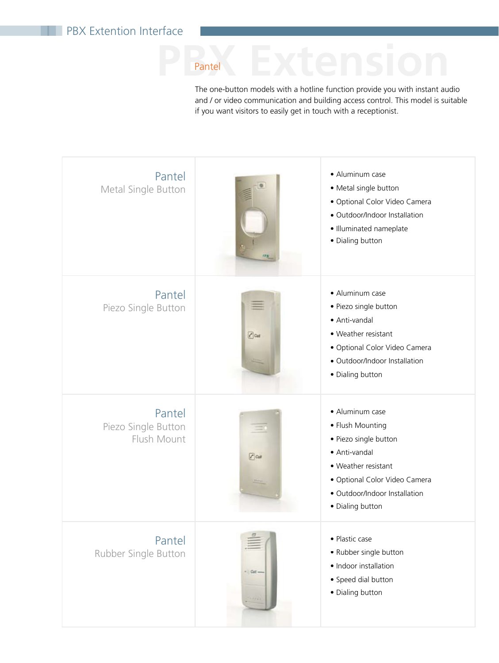## PP<sub>rantel</sub> Extension

The one-button models with a hotline function provide you with instant audio and / or video communication and building access control. This model is suitable if you want visitors to easily get in touch with a receptionist.

| Pantel<br>Metal Single Button                |              | • Aluminum case<br>• Metal single button<br>· Optional Color Video Camera<br>· Outdoor/Indoor Installation<br>· Illuminated nameplate<br>· Dialing button                                  |
|----------------------------------------------|--------------|--------------------------------------------------------------------------------------------------------------------------------------------------------------------------------------------|
| Pantel<br>Piezo Single Button                | $C$ cas      | · Aluminum case<br>· Piezo single button<br>· Anti-vandal<br>• Weather resistant<br>· Optional Color Video Camera<br>· Outdoor/Indoor Installation<br>• Dialing button                     |
| Pantel<br>Piezo Single Button<br>Flush Mount | $C$ can      | · Aluminum case<br>• Flush Mounting<br>· Piezo single button<br>· Anti-vandal<br>• Weather resistant<br>· Optional Color Video Camera<br>· Outdoor/Indoor Installation<br>· Dialing button |
| Pantel<br>Rubber Single Button               | $-$ Call $-$ | · Plastic case<br>• Rubber single button<br>· Indoor installation<br>· Speed dial button<br>· Dialing button                                                                               |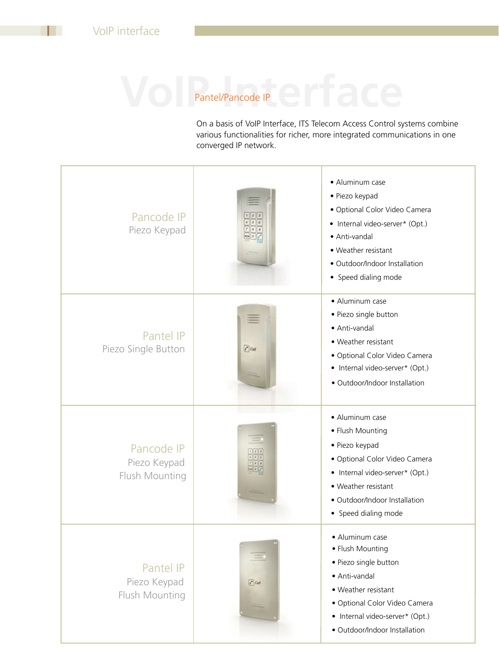## **VOIP** Pantel/Pancode IP Pantel/Pancode IP

On a basis of VoIP Interface, ITS Telecom Access Control systems combine various functionalities for richer, more integrated communications in one converged IP network.

| Pancode IP<br>Piezo Keypad                   |          | · Aluminum case<br>· Piezo keypad<br>· Optional Color Video Camera<br>• Internal video-server* (Opt.)<br>· Anti-vandal<br>• Weather resistant<br>· Outdoor/Indoor Installation<br>• Speed dialing mode            |
|----------------------------------------------|----------|-------------------------------------------------------------------------------------------------------------------------------------------------------------------------------------------------------------------|
| Pantel IP<br>Piezo Single Button             | $C$ car  | • Aluminum case<br>· Piezo single button<br>• Anti-vandal<br>• Weather resistant<br>· Optional Color Video Camera<br>• Internal video-server* (Opt.)<br>· Outdoor/Indoor Installation                             |
| Pancode IP<br>Piezo Keypad<br>Flush Mounting |          | · Aluminum case<br>• Flush Mounting<br>· Piezo keypad<br>· Optional Color Video Camera<br>• Internal video-server* (Opt.)<br>• Weather resistant<br>· Outdoor/Indoor Installation<br>• Speed dialing mode         |
| Pantel IP<br>Piezo Keypad<br>Flush Mounting  | $C$ Caif | $\bullet$ Aluminum case<br>• Flush Mounting<br>· Piezo single button<br>· Anti-vandal<br>• Weather resistant<br>· Optional Color Video Camera<br>• Internal video-server* (Opt.)<br>· Outdoor/Indoor Installation |